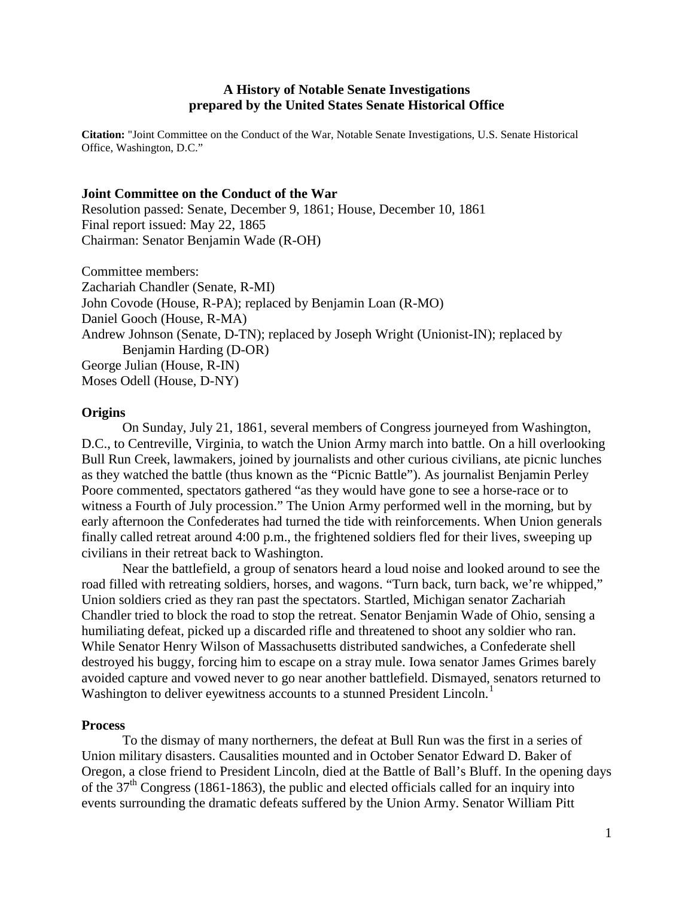# **A History of Notable Senate Investigations prepared by the United States Senate Historical Office**

**Citation:** "Joint Committee on the Conduct of the War, Notable Senate Investigations, U.S. Senate Historical Office, Washington, D.C."

### **Joint Committee on the Conduct of the War**

Resolution passed: Senate, December 9, 1861; House, December 10, 1861 Final report issued: May 22, 1865 Chairman: Senator Benjamin Wade (R-OH)

Committee members:

Zachariah Chandler (Senate, R-MI) John Covode (House, R-PA); replaced by Benjamin Loan (R-MO) Daniel Gooch (House, R-MA) Andrew Johnson (Senate, D-TN); replaced by Joseph Wright (Unionist-IN); replaced by Benjamin Harding (D-OR) George Julian (House, R-IN) Moses Odell (House, D-NY)

### **Origins**

On Sunday, July 21, 1861, several members of Congress journeyed from Washington, D.C., to Centreville, Virginia, to watch the Union Army march into battle. On a hill overlooking Bull Run Creek, lawmakers, joined by journalists and other curious civilians, ate picnic lunches as they watched the battle (thus known as the "Picnic Battle"). As journalist Benjamin Perley Poore commented, spectators gathered "as they would have gone to see a horse-race or to witness a Fourth of July procession." The Union Army performed well in the morning, but by early afternoon the Confederates had turned the tide with reinforcements. When Union generals finally called retreat around 4:00 p.m., the frightened soldiers fled for their lives, sweeping up civilians in their retreat back to Washington.

Near the battlefield, a group of senators heard a loud noise and looked around to see the road filled with retreating soldiers, horses, and wagons. "Turn back, turn back, we're whipped," Union soldiers cried as they ran past the spectators. Startled, Michigan senator Zachariah Chandler tried to block the road to stop the retreat. Senator Benjamin Wade of Ohio, sensing a humiliating defeat, picked up a discarded rifle and threatened to shoot any soldier who ran. While Senator Henry Wilson of Massachusetts distributed sandwiches, a Confederate shell destroyed his buggy, forcing him to escape on a stray mule. Iowa senator James Grimes barely avoided capture and vowed never to go near another battlefield. Dismayed, senators returned to Washington to deliver eyewitness accounts to a stunned President Lincoln.<sup>[1](#page-2-0)</sup>

### **Process**

To the dismay of many northerners, the defeat at Bull Run was the first in a series of Union military disasters. Causalities mounted and in October Senator Edward D. Baker of Oregon, a close friend to President Lincoln, died at the Battle of Ball's Bluff. In the opening days of the  $37<sup>th</sup>$  Congress (1861-1863), the public and elected officials called for an inquiry into events surrounding the dramatic defeats suffered by the Union Army. Senator William Pitt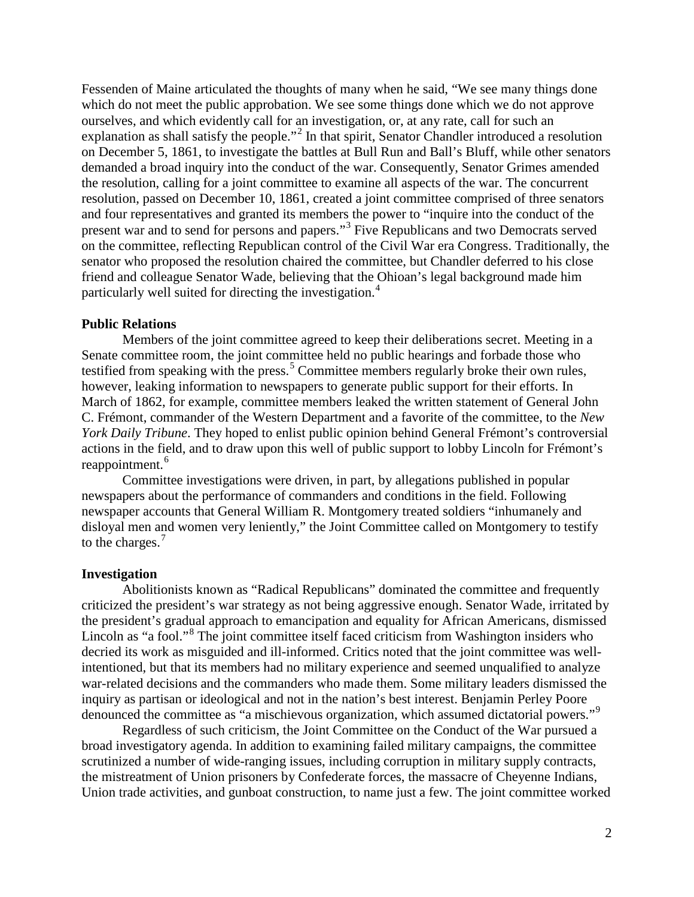Fessenden of Maine articulated the thoughts of many when he said, "We see many things done which do not meet the public approbation. We see some things done which we do not approve ourselves, and which evidently call for an investigation, or, at any rate, call for such an explanation as shall satisfy the people."<sup>[2](#page-2-1)</sup> In that spirit, Senator Chandler introduced a resolution on December 5, 1861, to investigate the battles at Bull Run and Ball's Bluff, while other senators demanded a broad inquiry into the conduct of the war. Consequently, Senator Grimes amended the resolution, calling for a joint committee to examine all aspects of the war. The concurrent resolution, passed on December 10, 1861, created a joint committee comprised of three senators and four representatives and granted its members the power to "inquire into the conduct of the present war and to send for persons and papers."[3](#page-2-2) Five Republicans and two Democrats served on the committee, reflecting Republican control of the Civil War era Congress. Traditionally, the senator who proposed the resolution chaired the committee, but Chandler deferred to his close friend and colleague Senator Wade, believing that the Ohioan's legal background made him particularly well suited for directing the investigation.[4](#page-2-3)

# **Public Relations**

Members of the joint committee agreed to keep their deliberations secret. Meeting in a Senate committee room, the joint committee held no public hearings and forbade those who testified from speaking with the press.<sup>[5](#page-2-4)</sup> Committee members regularly broke their own rules, however, leaking information to newspapers to generate public support for their efforts. In March of 1862, for example, committee members leaked the written statement of General John C. Frémont, commander of the Western Department and a favorite of the committee, to the *New York Daily Tribune*. They hoped to enlist public opinion behind General Frémont's controversial actions in the field, and to draw upon this well of public support to lobby Lincoln for Frémont's reappointment.<sup>[6](#page-2-5)</sup>

Committee investigations were driven, in part, by allegations published in popular newspapers about the performance of commanders and conditions in the field. Following newspaper accounts that General William R. Montgomery treated soldiers "inhumanely and disloyal men and women very leniently," the Joint Committee called on Montgomery to testify to the charges.<sup>[7](#page-2-6)</sup>

#### **Investigation**

Abolitionists known as "Radical Republicans" dominated the committee and frequently criticized the president's war strategy as not being aggressive enough. Senator Wade, irritated by the president's gradual approach to emancipation and equality for African Americans, dismissed Lincoln as "a fool."<sup>[8](#page-2-7)</sup> The joint committee itself faced criticism from Washington insiders who decried its work as misguided and ill-informed. Critics noted that the joint committee was wellintentioned, but that its members had no military experience and seemed unqualified to analyze war-related decisions and the commanders who made them. Some military leaders dismissed the inquiry as partisan or ideological and not in the nation's best interest. Benjamin Perley Poore denounced the committee as "a mischievous organization, which assumed dictatorial powers."<sup>[9](#page-3-0)</sup>

Regardless of such criticism, the Joint Committee on the Conduct of the War pursued a broad investigatory agenda. In addition to examining failed military campaigns, the committee scrutinized a number of wide-ranging issues, including corruption in military supply contracts, the mistreatment of Union prisoners by Confederate forces, the massacre of Cheyenne Indians, Union trade activities, and gunboat construction, to name just a few. The joint committee worked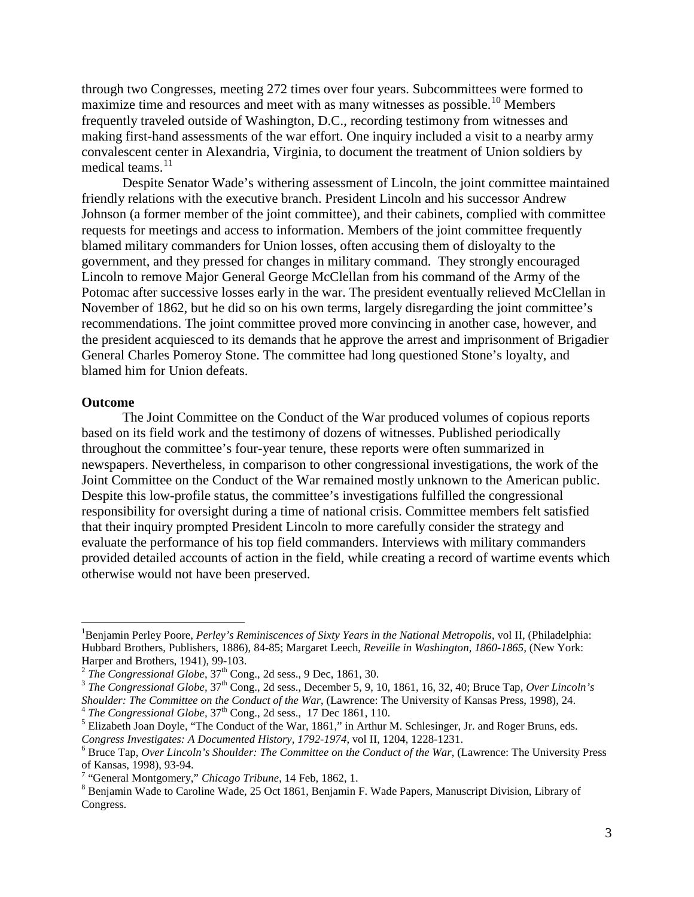through two Congresses, meeting 272 times over four years. Subcommittees were formed to maximize time and resources and meet with as many witnesses as possible.<sup>[10](#page-3-1)</sup> Members frequently traveled outside of Washington, D.C., recording testimony from witnesses and making first-hand assessments of the war effort. One inquiry included a visit to a nearby army convalescent center in Alexandria, Virginia, to document the treatment of Union soldiers by medical teams.<sup>[11](#page-3-2)</sup>

Despite Senator Wade's withering assessment of Lincoln, the joint committee maintained friendly relations with the executive branch. President Lincoln and his successor Andrew Johnson (a former member of the joint committee), and their cabinets, complied with committee requests for meetings and access to information. Members of the joint committee frequently blamed military commanders for Union losses, often accusing them of disloyalty to the government, and they pressed for changes in military command. They strongly encouraged Lincoln to remove Major General George McClellan from his command of the Army of the Potomac after successive losses early in the war. The president eventually relieved McClellan in November of 1862, but he did so on his own terms, largely disregarding the joint committee's recommendations. The joint committee proved more convincing in another case, however, and the president acquiesced to its demands that he approve the arrest and imprisonment of Brigadier General Charles Pomeroy Stone. The committee had long questioned Stone's loyalty, and blamed him for Union defeats.

#### **Outcome**

The Joint Committee on the Conduct of the War produced volumes of copious reports based on its field work and the testimony of dozens of witnesses. Published periodically throughout the committee's four-year tenure, these reports were often summarized in newspapers. Nevertheless, in comparison to other congressional investigations, the work of the Joint Committee on the Conduct of the War remained mostly unknown to the American public. Despite this low-profile status, the committee's investigations fulfilled the congressional responsibility for oversight during a time of national crisis. Committee members felt satisfied that their inquiry prompted President Lincoln to more carefully consider the strategy and evaluate the performance of his top field commanders. Interviews with military commanders provided detailed accounts of action in the field, while creating a record of wartime events which otherwise would not have been preserved.

<span id="page-2-0"></span> $\frac{1}{1}$ Benjamin Perley Poore, *Perley's Reminiscences of Sixty Years in the National Metropolis*, vol II, (Philadelphia: Hubbard Brothers, Publishers, 1886), 84-85; Margaret Leech, *Reveille in Washington, 1860-1865,* (New York:

<span id="page-2-2"></span><span id="page-2-1"></span><sup>&</sup>lt;sup>2</sup> The Congressional Globe,  $37<sup>th</sup>$  Cong., 2d sess., 9 Dec, 1861, 30.<br><sup>3</sup> The Congressional Globe,  $37<sup>th</sup>$  Cong., 2d sess., December 5, 9, 10, 1861, 16, 32, 40; Bruce Tap, Over Lincoln's Shoulder: The Committee o

<span id="page-2-4"></span><span id="page-2-3"></span><sup>&</sup>lt;sup>4</sup> The Congressional Globe,  $37<sup>th</sup>$  Cong., 2d sess., 17 Dec 1861, 110.<br><sup>5</sup> Elizabeth Joan Doyle, "The Conduct of the War, 1861," in Arthur M. Schlesinger, Jr. and Roger Bruns, eds.

<span id="page-2-5"></span>*Congress Investigates: A Documented History, 1792-1974*, vol II, 1204, 1228-1231. <sup>6</sup> Bruce Tap, *Over Lincoln's Shoulder: The Committee on the Conduct of the War*, (Lawrence: The University Press

<span id="page-2-7"></span><span id="page-2-6"></span><sup>&</sup>lt;sup>7</sup> "General Montgomery," *Chicago Tribune*, 14 Feb, 1862, 1.<br><sup>8</sup> Benjamin Wade to Caroline Wade, 25 Oct 1861, Benjamin F. Wade Papers, Manuscript Division, Library of Congress.